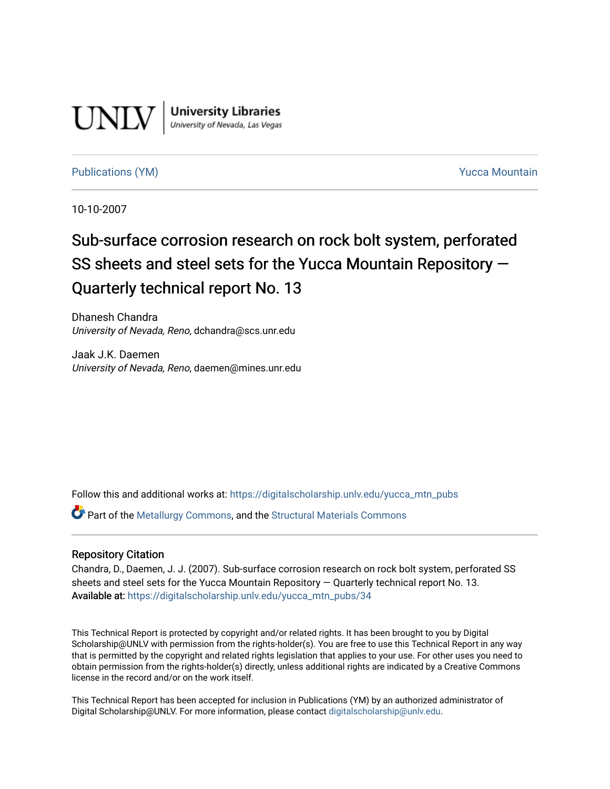

**University Libraries**<br>University of Nevada, Las Vegas

# [Publications \(YM\)](https://digitalscholarship.unlv.edu/yucca_mtn_pubs) **Publications (YM) Publications (YM) Publications** (*YM*)

10-10-2007

# Sub-surface corrosion research on rock bolt system, perforated SS sheets and steel sets for the Yucca Mountain Repository — Quarterly technical report No. 13

Dhanesh Chandra University of Nevada, Reno, dchandra@scs.unr.edu

Jaak J.K. Daemen University of Nevada, Reno, daemen@mines.unr.edu

Follow this and additional works at: [https://digitalscholarship.unlv.edu/yucca\\_mtn\\_pubs](https://digitalscholarship.unlv.edu/yucca_mtn_pubs?utm_source=digitalscholarship.unlv.edu%2Fyucca_mtn_pubs%2F34&utm_medium=PDF&utm_campaign=PDFCoverPages)

Part of the [Metallurgy Commons,](http://network.bepress.com/hgg/discipline/288?utm_source=digitalscholarship.unlv.edu%2Fyucca_mtn_pubs%2F34&utm_medium=PDF&utm_campaign=PDFCoverPages) and the [Structural Materials Commons](http://network.bepress.com/hgg/discipline/291?utm_source=digitalscholarship.unlv.edu%2Fyucca_mtn_pubs%2F34&utm_medium=PDF&utm_campaign=PDFCoverPages)

#### Repository Citation

Chandra, D., Daemen, J. J. (2007). Sub-surface corrosion research on rock bolt system, perforated SS sheets and steel sets for the Yucca Mountain Repository — Quarterly technical report No. 13. Available at: [https://digitalscholarship.unlv.edu/yucca\\_mtn\\_pubs/34](https://digitalscholarship.unlv.edu/yucca_mtn_pubs/34) 

This Technical Report is protected by copyright and/or related rights. It has been brought to you by Digital Scholarship@UNLV with permission from the rights-holder(s). You are free to use this Technical Report in any way that is permitted by the copyright and related rights legislation that applies to your use. For other uses you need to obtain permission from the rights-holder(s) directly, unless additional rights are indicated by a Creative Commons license in the record and/or on the work itself.

This Technical Report has been accepted for inclusion in Publications (YM) by an authorized administrator of Digital Scholarship@UNLV. For more information, please contact [digitalscholarship@unlv.edu](mailto:digitalscholarship@unlv.edu).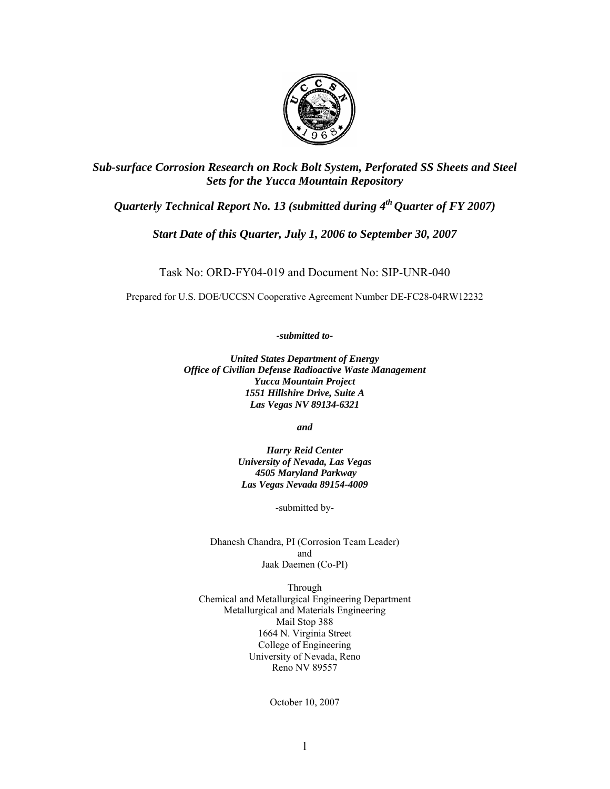

*Sub-surface Corrosion Research on Rock Bolt System, Perforated SS Sheets and Steel Sets for the Yucca Mountain Repository*

# *Quarterly Technical Report No. 13 (submitted during 4<sup>th</sup> Quarter of FY 2007)*

*Start Date of this Quarter, July 1, 2006 to September 30, 2007* 

Task No: ORD-FY04-019 and Document No: SIP-UNR-040

Prepared for U.S. DOE/UCCSN Cooperative Agreement Number DE-FC28-04RW12232

*-submitted to-*

*United States Department of Energy Office of Civilian Defense Radioactive Waste Management Yucca Mountain Project 1551 Hillshire Drive, Suite A Las Vegas NV 89134-6321* 

*and* 

*Harry Reid Center University of Nevada, Las Vegas 4505 Maryland Parkway Las Vegas Nevada 89154-4009* 

-submitted by-

Dhanesh Chandra, PI (Corrosion Team Leader) and Jaak Daemen (Co-PI)

Through Chemical and Metallurgical Engineering Department Metallurgical and Materials Engineering Mail Stop 388 1664 N. Virginia Street College of Engineering University of Nevada, Reno Reno NV 89557

October 10, 2007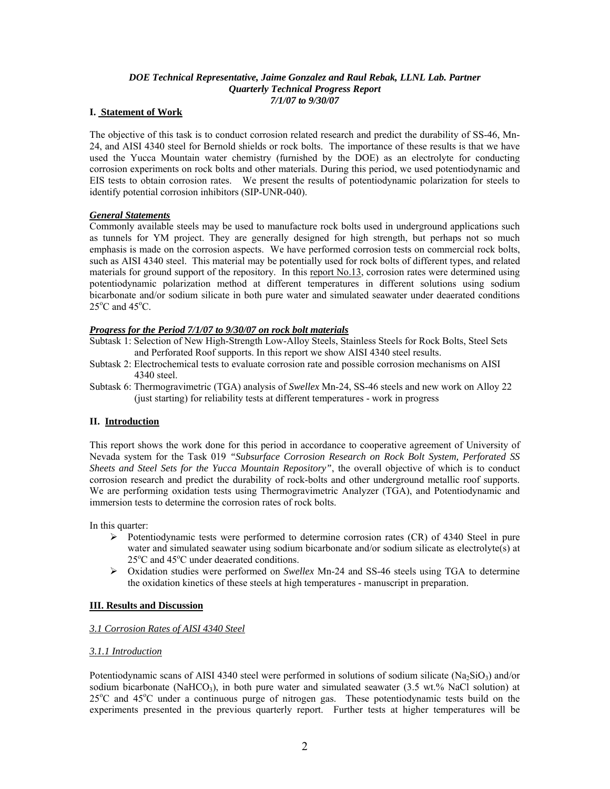#### *DOE Technical Representative, Jaime Gonzalez and Raul Rebak, LLNL Lab. Partner Quarterly Technical Progress Report 7/1/07 to 9/30/07*

#### **I. Statement of Work**

The objective of this task is to conduct corrosion related research and predict the durability of SS-46, Mn-24, and AISI 4340 steel for Bernold shields or rock bolts. The importance of these results is that we have used the Yucca Mountain water chemistry (furnished by the DOE) as an electrolyte for conducting corrosion experiments on rock bolts and other materials. During this period, we used potentiodynamic and EIS tests to obtain corrosion rates. We present the results of potentiodynamic polarization for steels to identify potential corrosion inhibitors (SIP-UNR-040).

#### *General Statements*

Commonly available steels may be used to manufacture rock bolts used in underground applications such as tunnels for YM project. They are generally designed for high strength, but perhaps not so much emphasis is made on the corrosion aspects. We have performed corrosion tests on commercial rock bolts, such as AISI 4340 steel. This material may be potentially used for rock bolts of different types, and related materials for ground support of the repository. In this report No.13, corrosion rates were determined using potentiodynamic polarization method at different temperatures in different solutions using sodium bicarbonate and/or sodium silicate in both pure water and simulated seawater under deaerated conditions  $25^{\circ}$ C and  $45^{\circ}$ C.

#### *Progress for the Period 7/1/07 to 9/30/07 on rock bolt materials*

Subtask 1: Selection of New High-Strength Low-Alloy Steels, Stainless Steels for Rock Bolts, Steel Sets and Perforated Roof supports. In this report we show AISI 4340 steel results.

- Subtask 2: Electrochemical tests to evaluate corrosion rate and possible corrosion mechanisms on AISI 4340 steel.
- Subtask 6: Thermogravimetric (TGA) analysis of *Swellex* Mn-24, SS-46 steels and new work on Alloy 22 (just starting) for reliability tests at different temperatures - work in progress

#### **II. Introduction**

This report shows the work done for this period in accordance to cooperative agreement of University of Nevada system for the Task 019 *"Subsurface Corrosion Research on Rock Bolt System, Perforated SS Sheets and Steel Sets for the Yucca Mountain Repository"*, the overall objective of which is to conduct corrosion research and predict the durability of rock-bolts and other underground metallic roof supports. We are performing oxidation tests using Thermogravimetric Analyzer (TGA), and Potentiodynamic and immersion tests to determine the corrosion rates of rock bolts.

In this quarter:

- $\triangleright$  Potentiodynamic tests were performed to determine corrosion rates (CR) of 4340 Steel in pure water and simulated seawater using sodium bicarbonate and/or sodium silicate as electrolyte(s) at 25°C and 45°C under deaerated conditions.
- ¾ Oxidation studies were performed on *Swellex* Mn-24 and SS-46 steels using TGA to determine the oxidation kinetics of these steels at high temperatures - manuscript in preparation.

#### **III. Results and Discussion**

#### *3.1 Corrosion Rates of AISI 4340 Steel*

#### *3.1.1 Introduction*

Potentiodynamic scans of AISI 4340 steel were performed in solutions of sodium silicate ( $Na<sub>2</sub>SiO<sub>3</sub>$ ) and/or sodium bicarbonate (NaHCO<sub>3</sub>), in both pure water and simulated seawater (3.5 wt.% NaCl solution) at 25°C and 45°C under a continuous purge of nitrogen gas. These potentiodynamic tests build on the experiments presented in the previous quarterly report. Further tests at higher temperatures will be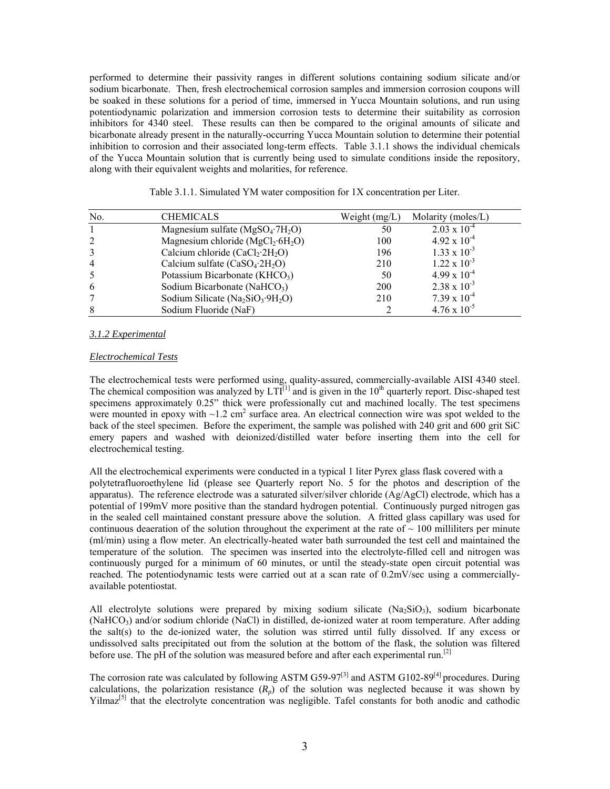performed to determine their passivity ranges in different solutions containing sodium silicate and/or sodium bicarbonate. Then, fresh electrochemical corrosion samples and immersion corrosion coupons will be soaked in these solutions for a period of time, immersed in Yucca Mountain solutions, and run using potentiodynamic polarization and immersion corrosion tests to determine their suitability as corrosion inhibitors for 4340 steel. These results can then be compared to the original amounts of silicate and bicarbonate already present in the naturally-occurring Yucca Mountain solution to determine their potential inhibition to corrosion and their associated long-term effects. Table 3.1.1 shows the individual chemicals of the Yucca Mountain solution that is currently being used to simulate conditions inside the repository, along with their equivalent weights and molarities, for reference.

| N <sub>0</sub> | <b>CHEMICALS</b>                                          | Weight $(mg/L)$ | Molarity (moles/L)    |
|----------------|-----------------------------------------------------------|-----------------|-----------------------|
|                | Magnesium sulfate ( $MgSO_4$ <sup>-7H<sub>2</sub>O)</sup> | 50              | $2.03 \times 10^{-4}$ |
|                | Magnesium chloride ( $MgCl_2 \cdot 6H_2O$ )               | 100             | $4.92 \times 10^{-4}$ |
|                | Calcium chloride $(CaCl2·2H2O)$                           | 196             | $1.33 \times 10^{-3}$ |
| $\overline{4}$ | Calcium sulfate $(CaSO_4.2H_2O)$                          | 210             | $1.22 \times 10^{-3}$ |
|                | Potassium Bicarbonate ( $KHCO3$ )                         | 50              | $4.99 \times 10^{-4}$ |
| 6              | Sodium Bicarbonate (NaHCO <sub>3</sub> )                  | <b>200</b>      | $2.38 \times 10^{-3}$ |
|                | Sodium Silicate ( $Na2SiO3·9H2O$ )                        | 210             | $7.39 \times 10^{-4}$ |
| 8              | Sodium Fluoride (NaF)                                     |                 | $4.76 \times 10^{-5}$ |

Table 3.1.1. Simulated YM water composition for 1X concentration per Liter.

#### *3.1.2 Experimental*

#### *Electrochemical Tests*

The electrochemical tests were performed using, quality-assured, commercially-available AISI 4340 steel. The chemical composition was analyzed by  $LT^{[1]}$  and is given in the 10<sup>th</sup> quarterly report. Disc-shaped test specimens approximately 0.25" thick were professionally cut and machined locally. The test specimens were mounted in epoxy with  $\sim$ 1.2 cm<sup>2</sup> surface area. An electrical connection wire was spot welded to the back of the steel specimen. Before the experiment, the sample was polished with 240 grit and 600 grit SiC emery papers and washed with deionized/distilled water before inserting them into the cell for electrochemical testing.

All the electrochemical experiments were conducted in a typical 1 liter Pyrex glass flask covered with a polytetrafluoroethylene lid (please see Quarterly report No. 5 for the photos and description of the apparatus). The reference electrode was a saturated silver/silver chloride  $(Ag/AgCl)$  electrode, which has a potential of 199mV more positive than the standard hydrogen potential. Continuously purged nitrogen gas in the sealed cell maintained constant pressure above the solution. A fritted glass capillary was used for continuous deaeration of the solution throughout the experiment at the rate of  $\sim 100$  milliliters per minute (ml/min) using a flow meter. An electrically-heated water bath surrounded the test cell and maintained the temperature of the solution. The specimen was inserted into the electrolyte-filled cell and nitrogen was continuously purged for a minimum of 60 minutes, or until the steady-state open circuit potential was reached. The potentiodynamic tests were carried out at a scan rate of 0.2mV/sec using a commerciallyavailable potentiostat.

All electrolyte solutions were prepared by mixing sodium silicate  $(Na_2SiO_3)$ , sodium bicarbonate  $(NaHCO<sub>3</sub>)$  and/or sodium chloride (NaCl) in distilled, de-ionized water at room temperature. After adding the salt(s) to the de-ionized water, the solution was stirred until fully dissolved. If any excess or undissolved salts precipitated out from the solution at the bottom of the flask, the solution was filtered before use. The pH of the solution was measured before and after each experimental run.<sup>[2]</sup>

The corrosion rate was calculated by following ASTM G59-97<sup>[3]</sup> and ASTM G102-89<sup>[4]</sup> procedures. During calculations, the polarization resistance  $(R_p)$  of the solution was neglected because it was shown by  $Yilmaz^{[5]}$  that the electrolyte concentration was negligible. Tafel constants for both anodic and cathodic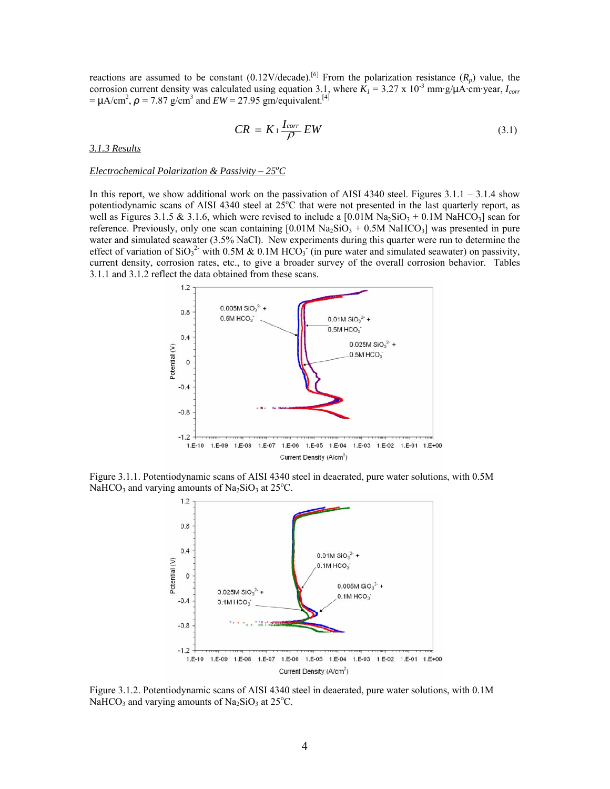reactions are assumed to be constant  $(0.12 \text{V/decade})^{[6]}$  From the polarization resistance  $(R_p)$  value, the corrosion current density was calculated using equation 3.1, where  $K_1 = 3.27 \times 10^{-3}$  mm·g/ $\mu$ A·cm·year,  $I_{corr}$  $= \mu A/cm^2$ ,  $\rho = 7.87$  g/cm<sup>3</sup> and  $EW = 27.95$  gm/equivalent.<sup>[4]</sup>

$$
CR = K_1 \frac{I_{corr}}{\rho} EW \tag{3.1}
$$

*3.1.3 Results*

#### *Electrochemical Polarization & Passivity – 25<sup>o</sup>C*

In this report, we show additional work on the passivation of AISI 4340 steel. Figures  $3.1.1 - 3.1.4$  show potentiodynamic scans of AISI 4340 steel at  $25^{\circ}$ C that were not presented in the last quarterly report, as well as Figures 3.1.5 & 3.1.6, which were revised to include a  $[0.01M Na<sub>2</sub>SiO<sub>3</sub> + 0.1M NaHCO<sub>3</sub>]$  scan for reference. Previously, only one scan containing  $[0.01M\text{ Na}_2\text{SiO}_3 + 0.5M\text{ NaHCO}_3]$  was presented in pure water and simulated seawater (3.5% NaCl). New experiments during this quarter were run to determine the effect of variation of  $SiO<sub>3</sub><sup>2</sup>$  with 0.5M & 0.1M HCO<sub>3</sub> (in pure water and simulated seawater) on passivity, current density, corrosion rates, etc., to give a broader survey of the overall corrosion behavior. Tables 3.1.1 and 3.1.2 reflect the data obtained from these scans.



Figure 3.1.1. Potentiodynamic scans of AISI 4340 steel in deaerated, pure water solutions, with 0.5M NaHCO<sub>3</sub> and varying amounts of Na<sub>2</sub>SiO<sub>3</sub> at 25<sup>o</sup>C.



Figure 3.1.2. Potentiodynamic scans of AISI 4340 steel in deaerated, pure water solutions, with 0.1M NaHCO<sub>3</sub> and varying amounts of Na<sub>2</sub>SiO<sub>3</sub> at 25<sup>o</sup>C.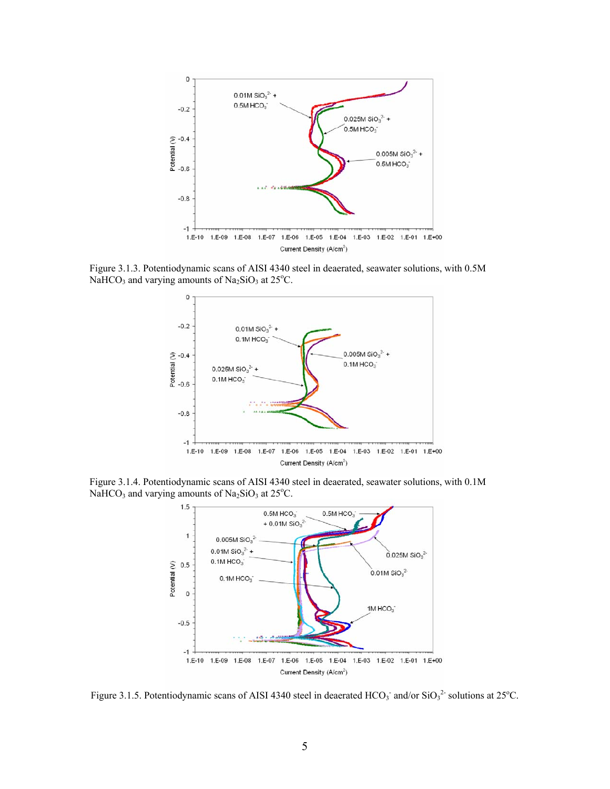

Figure 3.1.3. Potentiodynamic scans of AISI 4340 steel in deaerated, seawater solutions, with 0.5M NaHCO<sub>3</sub> and varying amounts of Na<sub>2</sub>SiO<sub>3</sub> at 25<sup>o</sup>C.



Figure 3.1.4. Potentiodynamic scans of AISI 4340 steel in deaerated, seawater solutions, with 0.1M NaHCO<sub>3</sub> and varying amounts of Na<sub>2</sub>SiO<sub>3</sub> at 25<sup>o</sup>C.



Figure 3.1.5. Potentiodynamic scans of AISI 4340 steel in deaerated  $HCO_3$  and/or  $SiO_3^2$  solutions at 25°C.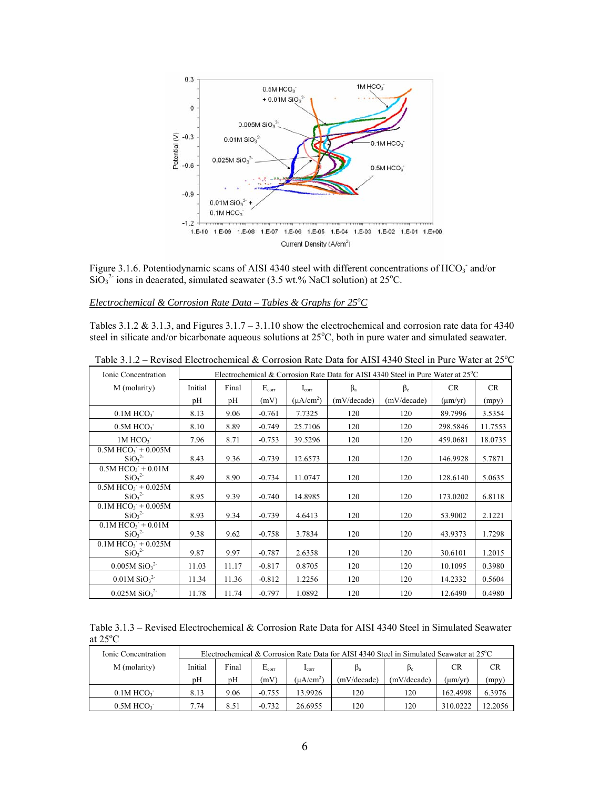

Figure 3.1.6. Potentiodynamic scans of AISI 4340 steel with different concentrations of HCO<sub>3</sub><sup>-</sup> and/or  $SiO<sub>3</sub><sup>2</sup>$  ions in deaerated, simulated seawater (3.5 wt.% NaCl solution) at 25<sup>o</sup>C.

#### Electrochemical & Corrosion Rate Data – Tables & Graphs for 25<sup>o</sup>C

Tables 3.1.2 & 3.1.3, and Figures  $3.1.7 - 3.1.10$  show the electrochemical and corrosion rate data for 4340 steel in silicate and/or bicarbonate aqueous solutions at 25°C, both in pure water and simulated seawater.

| Ionic Concentration                                                            |         |       |            |                | Electrochemical & Corrosion Rate Data for AISI 4340 Steel in Pure Water at 25°C |             |              |           |
|--------------------------------------------------------------------------------|---------|-------|------------|----------------|---------------------------------------------------------------------------------|-------------|--------------|-----------|
| M (molarity)                                                                   | Initial | Final | $E_{corr}$ | $I_{\rm corr}$ | $\beta_a$                                                                       | $\beta_c$   | CR           | <b>CR</b> |
|                                                                                | pH      | pH    | (mV)       | $(\mu A/cm^2)$ | (mV/decade)                                                                     | (mV/decade) | $(\mu m/yr)$ | (mpy)     |
| $0.1M$ HCO <sub>3</sub>                                                        | 8.13    | 9.06  | $-0.761$   | 7.7325         | 120                                                                             | 120         | 89.7996      | 3.5354    |
| $0.5M$ HCO $3$                                                                 | 8.10    | 8.89  | $-0.749$   | 25.7106        | 120                                                                             | 120         | 298.5846     | 11.7553   |
| 1M HCO <sub>3</sub>                                                            | 7.96    | 8.71  | $-0.753$   | 39.5296        | 120                                                                             | 120         | 459.0681     | 18.0735   |
| $0.5M$ HCO <sub>3</sub> <sup>+</sup> + 0.005M<br>SiO <sub>3</sub> <sup>2</sup> | 8.43    | 9.36  | $-0.739$   | 12.6573        | 120                                                                             | 120         | 146.9928     | 5.7871    |
| $0.5M$ HCO <sub>3</sub> + $0.01M$<br>SiO <sub>3</sub> <sup>2</sup>             | 8.49    | 8.90  | $-0.734$   | 11.0747        | 120                                                                             | 120         | 128.6140     | 5.0635    |
| $0.5M$ HCO <sub>3</sub> <sup>-</sup> + 0.025M<br>SiO <sub>3</sub> <sup>2</sup> | 8.95    | 9.39  | $-0.740$   | 14.8985        | 120                                                                             | 120         | 173.0202     | 6.8118    |
| $0.1M$ HCO <sub>3</sub> + 0.005M<br>SiO <sub>3</sub> <sup>2</sup>              | 8.93    | 9.34  | $-0.739$   | 4.6413         | 120                                                                             | 120         | 53.9002      | 2.1221    |
| $0.1M$ HCO <sub>3</sub> + $0.01M$<br>SiO <sub>3</sub> <sup>2</sup>             | 9.38    | 9.62  | $-0.758$   | 3.7834         | 120                                                                             | 120         | 43.9373      | 1.7298    |
| $0.1M$ HCO <sub>3</sub> <sup>+</sup> + 0.025M<br>SiO <sub>3</sub> <sup>2</sup> | 9.87    | 9.97  | $-0.787$   | 2.6358         | 120                                                                             | 120         | 30.6101      | 1.2015    |
| $0.005M$ SiO <sub>3</sub> <sup>2-</sup>                                        | 11.03   | 11.17 | $-0.817$   | 0.8705         | 120                                                                             | 120         | 10.1095      | 0.3980    |
| $0.01M$ SiO <sub>3</sub> <sup>2-</sup>                                         | 11.34   | 11.36 | $-0.812$   | 1.2256         | 120                                                                             | 120         | 14.2332      | 0.5604    |
| $0.025M$ SiO <sub>3</sub> <sup>2-</sup>                                        | 11.78   | 11.74 | $-0.797$   | 1.0892         | 120                                                                             | 120         | 12.6490      | 0.4980    |

Table 3.1.2 – Revised Electrochemical & Corrosion Rate Data for AISI 4340 Steel in Pure Water at  $25^{\circ}$ C

Table 3.1.3 – Revised Electrochemical & Corrosion Rate Data for AISI 4340 Steel in Simulated Seawater at  $25^{\circ}$ C

| Ionic Concentration | Electrochemical & Corrosion Rate Data for AISI 4340 Steel in Simulated Seawater at $25^{\circ}$ C |       |                |                       |             |             |           |        |  |
|---------------------|---------------------------------------------------------------------------------------------------|-------|----------------|-----------------------|-------------|-------------|-----------|--------|--|
| M (molarity)        | Initial                                                                                           | Final | $\rm E_{corr}$ | $_{\text{corr}}$      | Þa          | $\beta_c$   | <b>CR</b> | CR.    |  |
|                     | pH                                                                                                | pΗ    | (mV)           | (uA/cm <sup>2</sup> ) | (mV/decade) | (mV/decade) | (µm/yr)   | (mpy)  |  |
| $0.1M$ HCO $3$      | 8.13                                                                                              | 9.06  | $-0.755$       | 13.9926               | 120         | 120         | 162.4998  | 6.3976 |  |
| $0.5M$ HCO $3$      | 7.74                                                                                              | 8.51  | $-0.732$       | 26.6955               | 120         | 120         | 310.0222  | 2.2056 |  |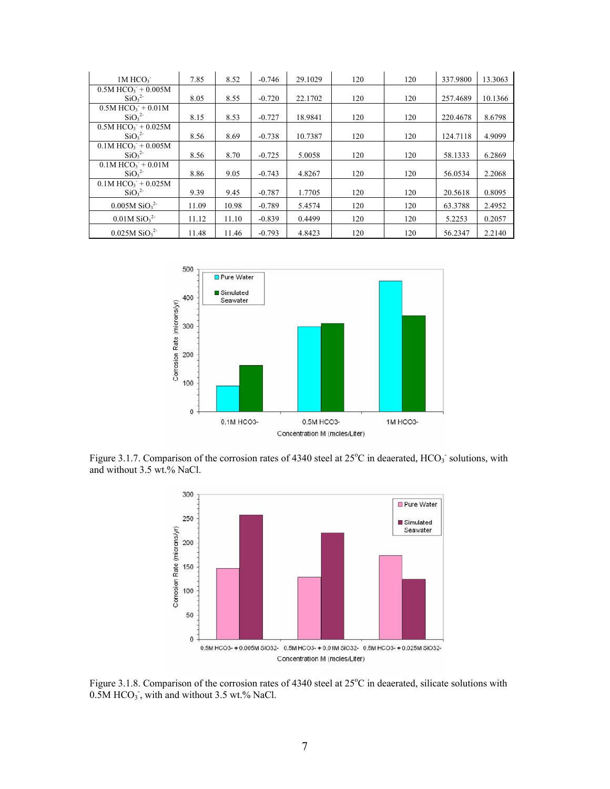| $1M$ HCO $3$                                    | 7.85  | 8.52  | $-0.746$ | 29.1029 | 120 | 120 | 337.9800 | 13.3063 |
|-------------------------------------------------|-------|-------|----------|---------|-----|-----|----------|---------|
| $0.5M$ HCO <sub>3</sub> <sup>+</sup> $+ 0.005M$ |       |       |          |         |     |     |          |         |
| SiO <sub>3</sub> <sup>2</sup>                   | 8.05  | 8.55  | $-0.720$ | 22.1702 | 120 | 120 | 257.4689 | 10.1366 |
| $0.5M$ HCO <sub>3</sub> <sup>+</sup> $+ 0.01M$  |       |       |          |         |     |     |          |         |
| SiO <sub>3</sub> <sup>2</sup>                   | 8.15  | 8.53  | $-0.727$ | 18.9841 | 120 | 120 | 220,4678 | 8.6798  |
| $0.5M$ HCO <sub>3</sub> <sup>+</sup> + 0.025M   |       |       |          |         |     |     |          |         |
| SiO <sub>3</sub> <sup>2</sup>                   | 8.56  | 8.69  | $-0.738$ | 10.7387 | 120 | 120 | 124.7118 | 4.9099  |
| $0.1M$ HCO <sub>3</sub> + 0.005M                |       |       |          |         |     |     |          |         |
| SiO <sub>3</sub> <sup>2</sup>                   | 8.56  | 8.70  | $-0.725$ | 5.0058  | 120 | 120 | 58.1333  | 6.2869  |
| $0.1M$ HCO <sub>3</sub> + $0.01M$               |       |       |          |         |     |     |          |         |
| SiO <sub>3</sub> <sup>2</sup>                   | 8.86  | 9.05  | $-0.743$ | 4.8267  | 120 | 120 | 56.0534  | 2.2068  |
| $0.1M$ HCO <sub>3</sub> <sup>+</sup> + 0.025M   |       |       |          |         |     |     |          |         |
| SiO <sub>3</sub> <sup>2</sup>                   | 9.39  | 9.45  | $-0.787$ | 1.7705  | 120 | 120 | 20.5618  | 0.8095  |
| $0.005M$ SiO <sub>3</sub> <sup>2-</sup>         | 11.09 | 10.98 | $-0.789$ | 5.4574  | 120 | 120 | 63.3788  | 2.4952  |
| $0.01M$ SiO <sub>3</sub> <sup>2-</sup>          | 11.12 | 11.10 | $-0.839$ | 0.4499  | 120 | 120 | 5.2253   | 0.2057  |
| $0.025M$ SiO <sub>3</sub> <sup>2-</sup>         | 11.48 | 11.46 | $-0.793$ | 4.8423  | 120 | 120 | 56.2347  | 2.2140  |



Figure 3.1.7. Comparison of the corrosion rates of 4340 steel at  $25^{\circ}$ C in deaerated, HCO<sub>3</sub> solutions, with and without 3.5 wt.% NaCl.



Figure 3.1.8. Comparison of the corrosion rates of 4340 steel at 25°C in deaerated, silicate solutions with  $0.5M HCO<sub>3</sub>$ , with and without 3.5 wt.% NaCl.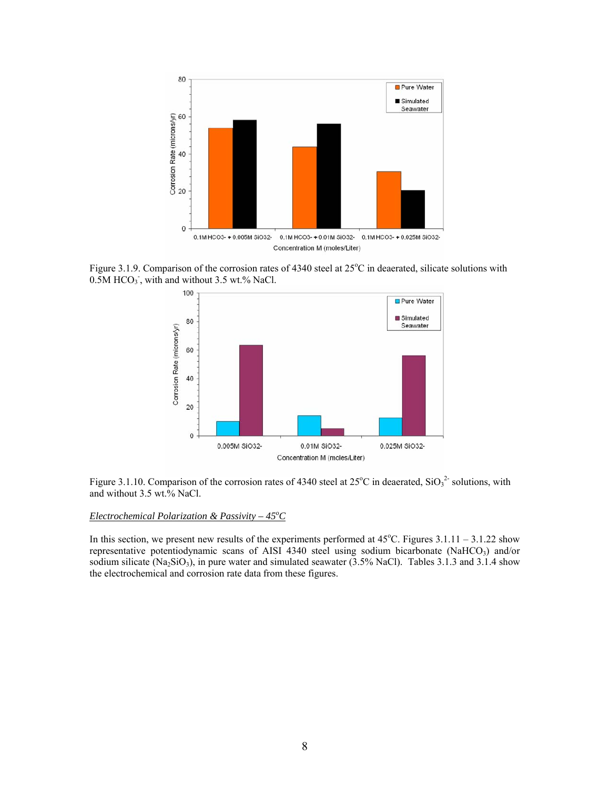

Figure 3.1.9. Comparison of the corrosion rates of 4340 steel at 25°C in deaerated, silicate solutions with  $0.5M HCO<sub>3</sub>$ , with and without 3.5 wt.% NaCl.



Figure 3.1.10. Comparison of the corrosion rates of 4340 steel at  $25^{\circ}$ C in deaerated,  $SiO<sub>3</sub><sup>2</sup>$  solutions, with and without 3.5 wt.% NaCl.

#### **Electrochemical Polarization & Passivity – 45°C**

In this section, we present new results of the experiments performed at  $45^{\circ}$ C. Figures  $3.1.11 - 3.1.22$  show representative potentiodynamic scans of AISI 4340 steel using sodium bicarbonate (NaHCO<sub>3</sub>) and/or sodium silicate ( $Na_2SiO_3$ ), in pure water and simulated seawater (3.5% NaCl). Tables 3.1.3 and 3.1.4 show the electrochemical and corrosion rate data from these figures.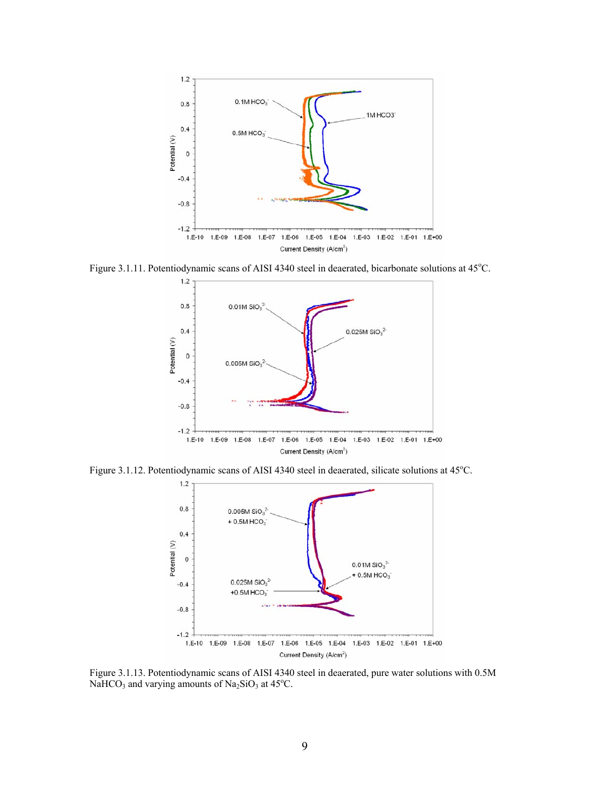

Figure 3.1.11. Potentiodynamic scans of AISI 4340 steel in deaerated, bicarbonate solutions at 45°C.



Figure 3.1.12. Potentiodynamic scans of AISI 4340 steel in deaerated, silicate solutions at 45°C.



Figure 3.1.13. Potentiodynamic scans of AISI 4340 steel in deaerated, pure water solutions with 0.5M NaHCO<sub>3</sub> and varying amounts of Na<sub>2</sub>SiO<sub>3</sub> at 45<sup>o</sup>C.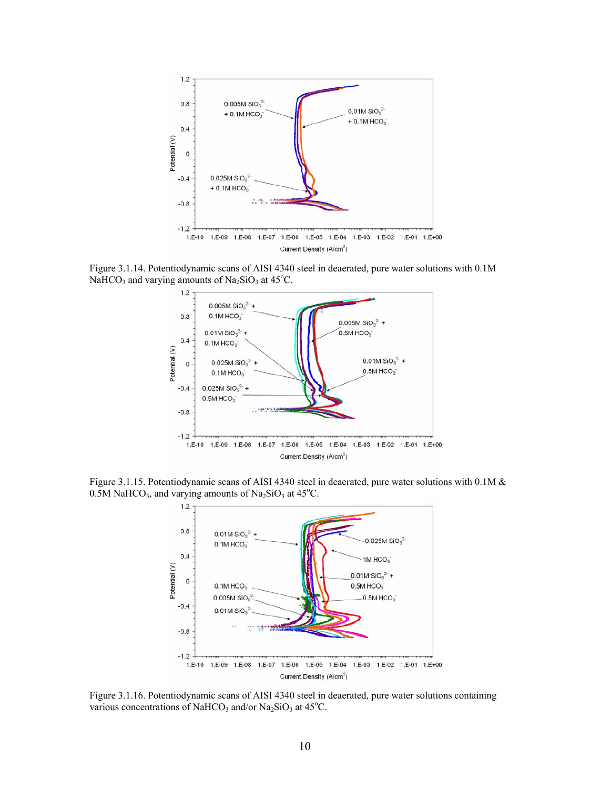

Figure 3.1.14. Potentiodynamic scans of AISI 4340 steel in deaerated, pure water solutions with 0.1M NaHCO<sub>3</sub> and varying amounts of Na<sub>2</sub>SiO<sub>3</sub> at 45<sup>o</sup>C.



Figure 3.1.15. Potentiodynamic scans of AISI 4340 steel in deaerated, pure water solutions with 0.1M &  $0.5M$  NaHCO<sub>3</sub>, and varying amounts of Na<sub>2</sub>SiO<sub>3</sub> at 45<sup>o</sup>C.



Figure 3.1.16. Potentiodynamic scans of AISI 4340 steel in deaerated, pure water solutions containing various concentrations of NaHCO<sub>3</sub> and/or Na<sub>2</sub>SiO<sub>3</sub> at  $45^{\circ}$ C.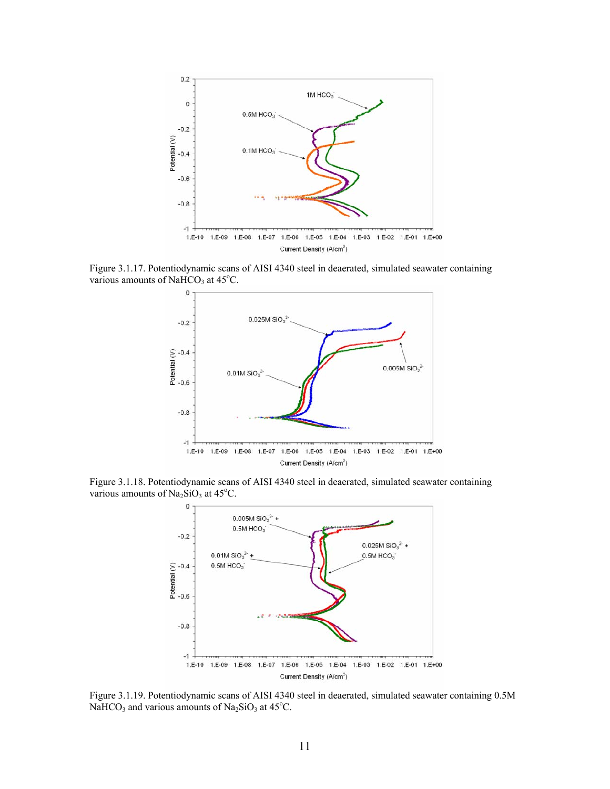

Figure 3.1.17. Potentiodynamic scans of AISI 4340 steel in deaerated, simulated seawater containing various amounts of NaHCO<sub>3</sub> at  $45^{\circ}$ C.



Figure 3.1.18. Potentiodynamic scans of AISI 4340 steel in deaerated, simulated seawater containing various amounts of  $Na<sub>2</sub>SiO<sub>3</sub>$  at 45°C.



Figure 3.1.19. Potentiodynamic scans of AISI 4340 steel in deaerated, simulated seawater containing 0.5M NaHCO<sub>3</sub> and various amounts of Na<sub>2</sub>SiO<sub>3</sub> at 45<sup>o</sup>C.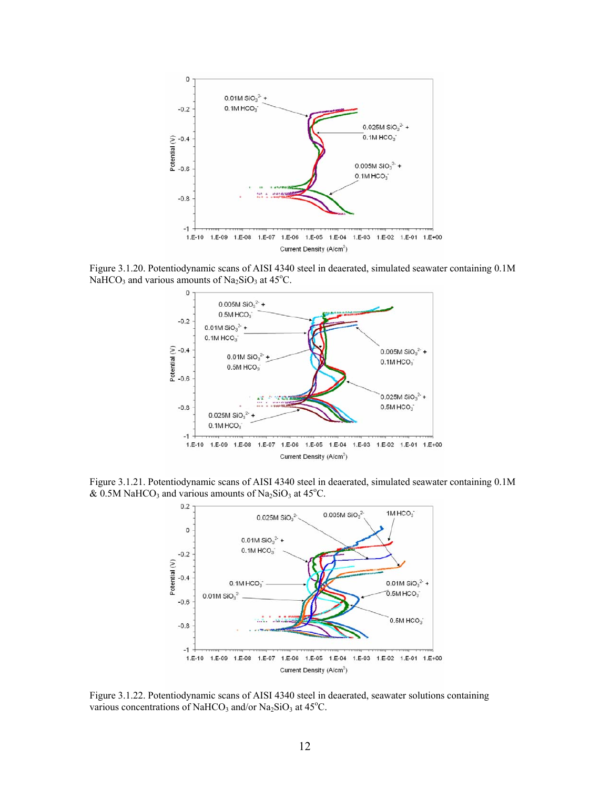

Figure 3.1.20. Potentiodynamic scans of AISI 4340 steel in deaerated, simulated seawater containing 0.1M NaHCO<sub>3</sub> and various amounts of Na<sub>2</sub>SiO<sub>3</sub> at 45<sup>o</sup>C.



Figure 3.1.21. Potentiodynamic scans of AISI 4340 steel in deaerated, simulated seawater containing 0.1M & 0.5M NaHCO<sub>3</sub> and various amounts of Na<sub>2</sub>SiO<sub>3</sub> at 45<sup>o</sup>C.



Figure 3.1.22. Potentiodynamic scans of AISI 4340 steel in deaerated, seawater solutions containing various concentrations of NaHCO<sub>3</sub> and/or Na<sub>2</sub>SiO<sub>3</sub> at 45°C.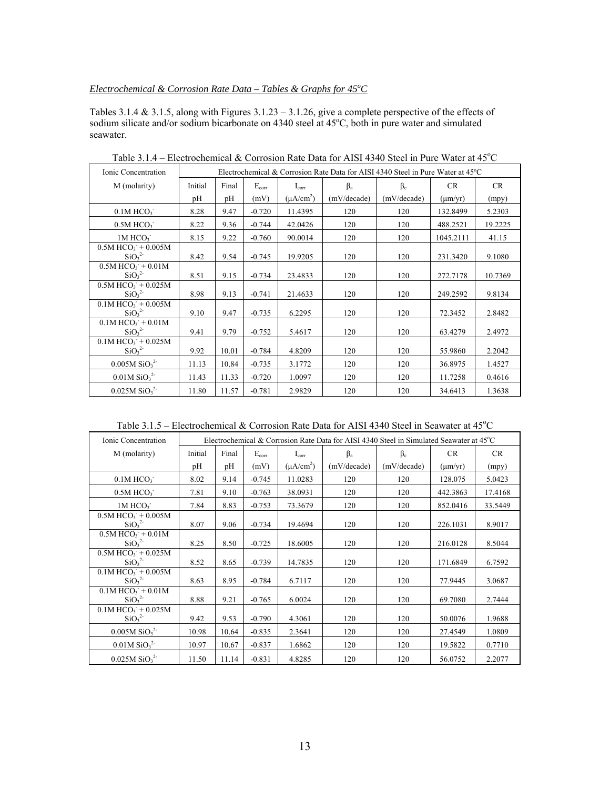## *Electrochemical & Corrosion Rate Data – Tables & Graphs for 45<sup>o</sup>C*

Tables 3.1.4 & 3.1.5, along with Figures 3.1.23 – 3.1.26, give a complete perspective of the effects of sodium silicate and/or sodium bicarbonate on 4340 steel at 45°C, both in pure water and simulated seawater.

| Ionic Concentration                                                              | Electrochemical & Corrosion Rate Data for AISI 4340 Steel in Pure Water at 45°C |       |            |                |             |             |              |         |
|----------------------------------------------------------------------------------|---------------------------------------------------------------------------------|-------|------------|----------------|-------------|-------------|--------------|---------|
| M (molarity)                                                                     | Initial                                                                         | Final | $E_{corr}$ | $I_{\rm corr}$ | $\beta_a$   | $\beta_c$   | CR           | CR      |
|                                                                                  | pH                                                                              | pH    | (mV)       | $(\mu A/cm^2)$ | (mV/decade) | (mV/decade) | $(\mu m/yr)$ | (mpy)   |
| $0.1M$ HCO <sub>3</sub>                                                          | 8.28                                                                            | 9.47  | $-0.720$   | 11.4395        | 120         | 120         | 132.8499     | 5.2303  |
| $0.5M$ HCO $3$                                                                   | 8.22                                                                            | 9.36  | $-0.744$   | 42.0426        | 120         | 120         | 488.2521     | 19.2225 |
| 1M HCO <sub>3</sub>                                                              | 8.15                                                                            | 9.22  | $-0.760$   | 90.0014        | 120         | 120         | 1045.2111    | 41.15   |
| $0.5M$ HCO <sub>3</sub> <sup>+</sup> + 0.005M<br>SiO <sub>3</sub> <sup>2</sup>   | 8.42                                                                            | 9.54  | $-0.745$   | 19.9205        | 120         | 120         | 231.3420     | 9.1080  |
| $0.5M$ HCO <sub>3</sub> + $0.01M$<br>SiO <sub>3</sub> <sup>2</sup>               | 8.51                                                                            | 9.15  | $-0.734$   | 23.4833        | 120         | 120         | 272.7178     | 10.7369 |
| $0.5M$ HCO <sub>3</sub> <sup>+</sup> $+ 0.025M$<br>SiO <sub>3</sub> <sup>2</sup> | 8.98                                                                            | 9.13  | $-0.741$   | 21.4633        | 120         | 120         | 249.2592     | 9.8134  |
| $0.1M$ HCO <sub>3</sub> <sup>+</sup> + 0.005M<br>SiO <sub>3</sub> <sup>2</sup>   | 9.10                                                                            | 9.47  | $-0.735$   | 6.2295         | 120         | 120         | 72.3452      | 2.8482  |
| $0.1M$ HCO <sub>3</sub> + $0.01M$<br>SiO <sub>3</sub> <sup>2</sup>               | 9.41                                                                            | 9.79  | $-0.752$   | 5.4617         | 120         | 120         | 63.4279      | 2.4972  |
| $0.1M$ HCO <sub>3</sub> + 0.025M<br>SiO <sub>3</sub> <sup>2</sup>                | 9.92                                                                            | 10.01 | $-0.784$   | 4.8209         | 120         | 120         | 55.9860      | 2.2042  |
| $0.005M$ SiO <sub>3</sub> <sup>2-</sup>                                          | 11.13                                                                           | 10.84 | $-0.735$   | 3.1772         | 120         | 120         | 36.8975      | 1.4527  |
| $0.01M$ SiO <sub>3</sub> <sup>2-</sup>                                           | 11.43                                                                           | 11.33 | $-0.720$   | 1.0097         | 120         | 120         | 11.7258      | 0.4616  |
| $0.025M$ SiO <sub>3</sub> <sup>2-</sup>                                          | 11.80                                                                           | 11.57 | $-0.781$   | 2.9829         | 120         | 120         | 34.6413      | 1.3638  |

Table 3.1.4 – Electrochemical & Corrosion Rate Data for AISI 4340 Steel in Pure Water at  $45^{\circ}$ C

Table 3.1.5 – Electrochemical & Corrosion Rate Data for AISI 4340 Steel in Seawater at  $45^{\circ}$ C

| Ionic Concentration                                                            | Electrochemical & Corrosion Rate Data for AISI 4340 Steel in Simulated Seawater at 45°C |       |            |                |             |             |              |           |
|--------------------------------------------------------------------------------|-----------------------------------------------------------------------------------------|-------|------------|----------------|-------------|-------------|--------------|-----------|
| M (molarity)                                                                   | Initial                                                                                 | Final | $E_{corr}$ | $I_{\rm corr}$ | $\beta_a$   | $\beta_c$   | <b>CR</b>    | <b>CR</b> |
|                                                                                | pH                                                                                      | pH    | (mV)       | $(\mu A/cm^2)$ | (mV/decade) | (mV/decade) | $(\mu m/yr)$ | (mpy)     |
| $0.1M$ HCO <sub>3</sub>                                                        | 8.02                                                                                    | 9.14  | $-0.745$   | 11.0283        | 120         | 120         | 128.075      | 5.0423    |
| $0.5M$ HCO <sub>3</sub>                                                        | 7.81                                                                                    | 9.10  | $-0.763$   | 38.0931        | 120         | 120         | 442.3863     | 17.4168   |
| 1M HCO <sub>3</sub>                                                            | 7.84                                                                                    | 8.83  | $-0.753$   | 73.3679        | 120         | 120         | 852.0416     | 33.5449   |
| $0.5M$ HCO <sub>3</sub> + 0.005M<br>SiO <sub>3</sub> <sup>2</sup>              | 8.07                                                                                    | 9.06  | $-0.734$   | 19.4694        | 120         | 120         | 226.1031     | 8.9017    |
| $0.5M$ HCO <sub>3</sub> + $0.01M$<br>SiO <sub>3</sub> <sup>2</sup>             | 8.25                                                                                    | 8.50  | $-0.725$   | 18.6005        | 120         | 120         | 216.0128     | 8.5044    |
| $0.5M HCO3 + 0.025M$<br>SiO <sub>3</sub> <sup>2</sup>                          | 8.52                                                                                    | 8.65  | $-0.739$   | 14.7835        | 120         | 120         | 171.6849     | 6.7592    |
| $0.1M$ HCO <sub>3</sub> + 0.005M<br>SiO <sub>3</sub> <sup>2</sup>              | 8.63                                                                                    | 8.95  | $-0.784$   | 6.7117         | 120         | 120         | 77.9445      | 3.0687    |
| $0.1M$ HCO <sub>3</sub> <sup>+</sup> $0.01M$<br>SiO <sub>3</sub> <sup>2</sup>  | 8.88                                                                                    | 9.21  | $-0.765$   | 6.0024         | 120         | 120         | 69.7080      | 2.7444    |
| $0.1M$ HCO <sub>3</sub> <sup>+</sup> + 0.025M<br>SiO <sub>3</sub> <sup>2</sup> | 9.42                                                                                    | 9.53  | $-0.790$   | 4.3061         | 120         | 120         | 50.0076      | 1.9688    |
| $0.005M$ SiO <sub>3</sub> <sup>2-</sup>                                        | 10.98                                                                                   | 10.64 | $-0.835$   | 2.3641         | 120         | 120         | 27.4549      | 1.0809    |
| $0.01M$ SiO <sub>3</sub> <sup>2-</sup>                                         | 10.97                                                                                   | 10.67 | $-0.837$   | 1.6862         | 120         | 120         | 19.5822      | 0.7710    |
| $0.025M$ SiO <sub>3</sub> <sup>2-</sup>                                        | 11.50                                                                                   | 11.14 | $-0.831$   | 4.8285         | 120         | 120         | 56.0752      | 2.2077    |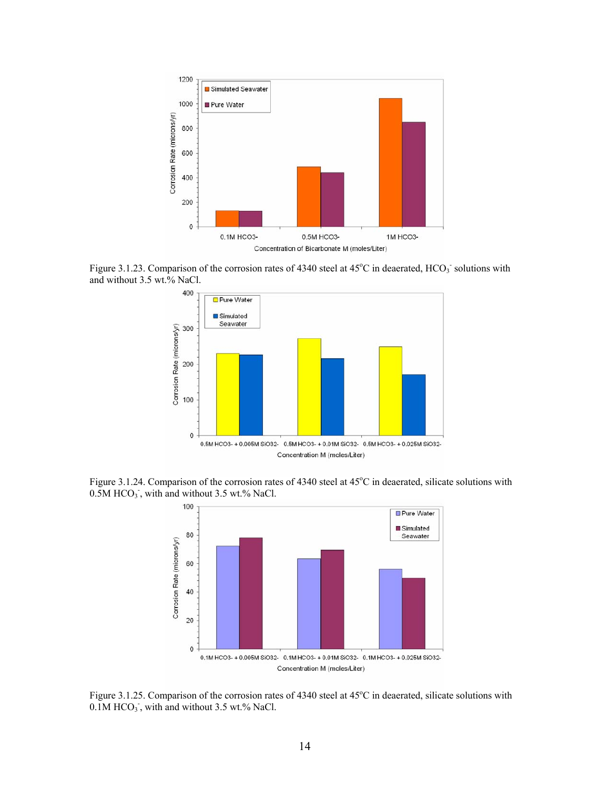

Figure 3.1.23. Comparison of the corrosion rates of 4340 steel at 45°C in deaerated, HCO<sub>3</sub> solutions with and without 3.5 wt.% NaCl.



Figure 3.1.24. Comparison of the corrosion rates of 4340 steel at 45°C in deaerated, silicate solutions with  $0.5M HCO<sub>3</sub>$ , with and without 3.5 wt.% NaCl.



Figure 3.1.25. Comparison of the corrosion rates of 4340 steel at 45°C in deaerated, silicate solutions with  $0.1M$  HCO<sub>3</sub>, with and without 3.5 wt.% NaCl.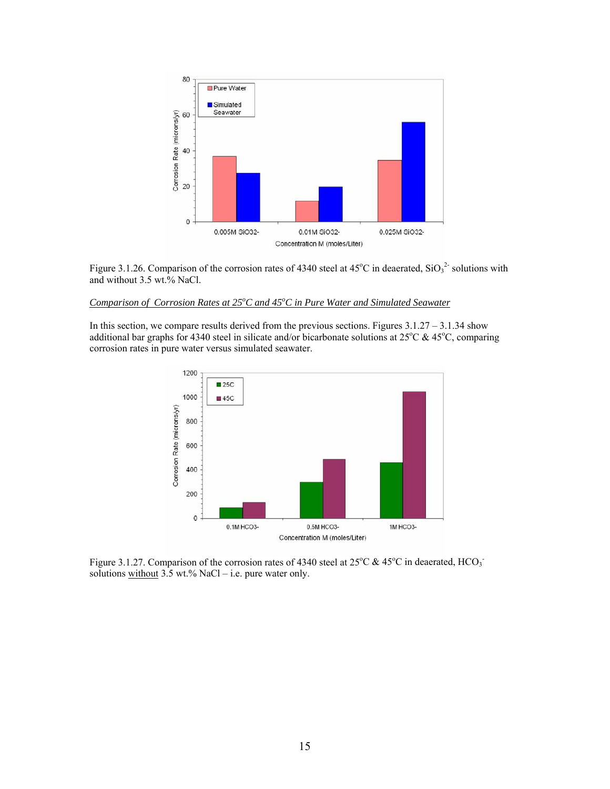

Figure 3.1.26. Comparison of the corrosion rates of 4340 steel at  $45^{\circ}$ C in deaerated,  $\text{SiO}_3^2$  solutions with and without 3.5 wt.% NaCl.

## *Comparison of Corrosion Rates at 25<sup>o</sup> C and 45<sup>o</sup> C in Pure Water and Simulated Seawater*

In this section, we compare results derived from the previous sections. Figures  $3.1.27 - 3.1.34$  show additional bar graphs for 4340 steel in silicate and/or bicarbonate solutions at  $25^{\circ}$ C &  $45^{\circ}$ C, comparing corrosion rates in pure water versus simulated seawater.



Figure 3.1.27. Comparison of the corrosion rates of 4340 steel at  $25^{\circ}$ C &  $45^{\circ}$ C in deaerated, HCO<sub>3</sub> solutions without  $3.5$  wt.% NaCl – i.e. pure water only.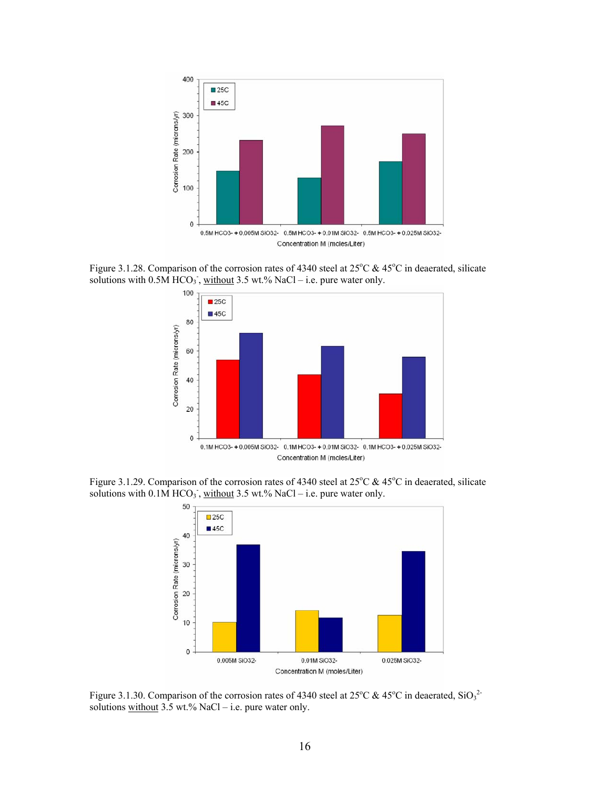

Figure 3.1.28. Comparison of the corrosion rates of 4340 steel at  $25^{\circ}$ C & 45 $^{\circ}$ C in deaerated, silicate solutions with  $0.5\overline{\text{M}}$  HCO<sub>3</sub><sup>-</sup>, without 3.5 wt.% NaCl – i.e. pure water only.



Figure 3.1.29. Comparison of the corrosion rates of 4340 steel at  $25^{\circ}$ C & 45<sup>°</sup>C in deaerated, silicate solutions with  $0.1\overline{M} HCO<sub>3</sub>$ , without 3.5 wt.% NaCl – i.e. pure water only.



Figure 3.1.30. Comparison of the corrosion rates of 4340 steel at 25 $\rm{^{\circ}C}$  & 45 $\rm{^{\circ}C}$  in deaerated, SiO<sub>3</sub><sup>2</sup> solutions without  $3.5$  wt.% NaCl – i.e. pure water only.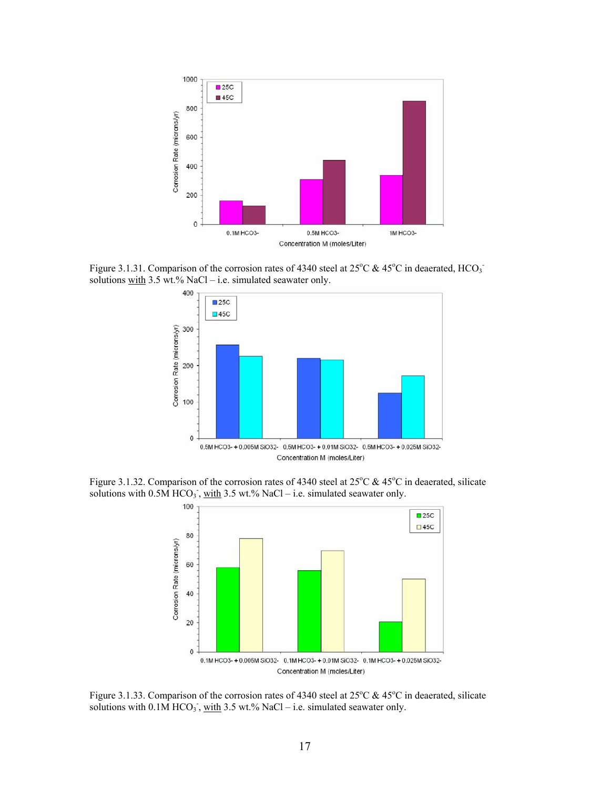

Figure 3.1.31. Comparison of the corrosion rates of 4340 steel at 25 $\rm{^{\circ}C}$  & 45 $\rm{^{\circ}C}$  in deaerated, HCO<sub>3</sub> solutions with  $3.5$  wt.% NaCl – i.e. simulated seawater only.



Figure 3.1.32. Comparison of the corrosion rates of 4340 steel at  $25^{\circ}$ C & 45<sup>°</sup>C in deaerated, silicate solutions with  $0.5\overline{M}$  HCO<sub>3</sub>, with 3.5 wt.% NaCl – i.e. simulated seawater only.



Figure 3.1.33. Comparison of the corrosion rates of 4340 steel at  $25^{\circ}$ C & 45<sup>o</sup>C in deaerated, silicate solutions with  $0.1\overline{M}$  HCO<sub>3</sub><sup>-</sup>, <u>with</u> 3.5 wt.% NaCl – i.e. simulated seawater only.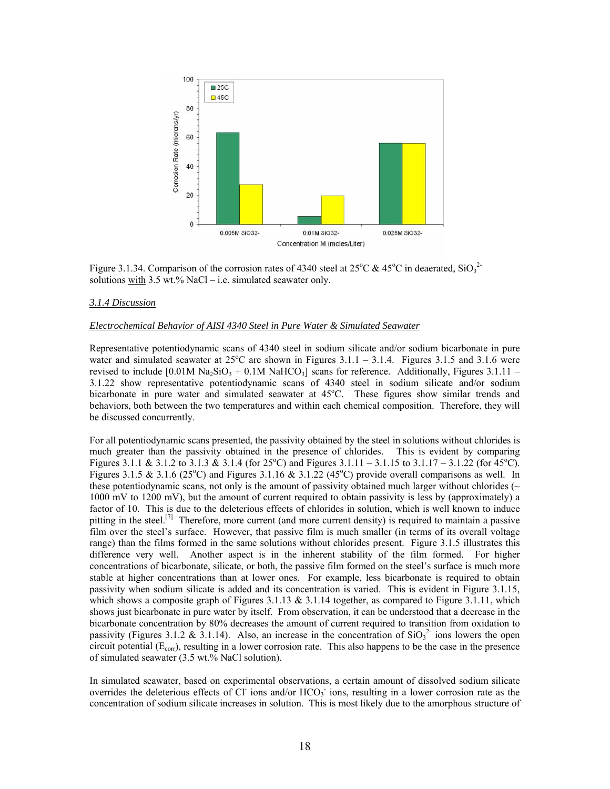

Figure 3.1.34. Comparison of the corrosion rates of 4340 steel at 25<sup>o</sup>C & 45<sup>o</sup>C in deaerated, SiO<sub>3</sub><sup>2</sup> solutions with  $3.5$  wt.% NaCl – i.e. simulated seawater only.

#### *3.1.4 Discussion*

#### *Electrochemical Behavior of AISI 4340 Steel in Pure Water & Simulated Seawater*

Representative potentiodynamic scans of 4340 steel in sodium silicate and/or sodium bicarbonate in pure water and simulated seawater at  $25^{\circ}$ C are shown in Figures 3.1.1 – 3.1.4. Figures 3.1.5 and 3.1.6 were revised to include  $[0.01M\text{ Na}_2\text{SiO}_3 + 0.1M\text{ NaHCO}_3]$  scans for reference. Additionally, Figures 3.1.11 – 3.1.22 show representative potentiodynamic scans of 4340 steel in sodium silicate and/or sodium bicarbonate in pure water and simulated seawater at 45°C. These figures show similar trends and behaviors, both between the two temperatures and within each chemical composition. Therefore, they will be discussed concurrently.

For all potentiodynamic scans presented, the passivity obtained by the steel in solutions without chlorides is much greater than the passivity obtained in the presence of chlorides. This is evident by comparing Figures 3.1.1 & 3.1.2 to 3.1.3 & 3.1.4 (for 25°C) and Figures 3.1.11 – 3.1.15 to 3.1.17 – 3.1.22 (for 45°C). Figures 3.1.5 & 3.1.6 (25°C) and Figures 3.1.16 & 3.1.22 (45°C) provide overall comparisons as well. In these potentiodynamic scans, not only is the amount of passivity obtained much larger without chlorides ( $\sim$ 1000 mV to 1200 mV), but the amount of current required to obtain passivity is less by (approximately) a factor of 10. This is due to the deleterious effects of chlorides in solution, which is well known to induce pitting in the steel.<sup>[7]</sup> Therefore, more current (and more current density) is required to maintain a passive film over the steel's surface. However, that passive film is much smaller (in terms of its overall voltage range) than the films formed in the same solutions without chlorides present. Figure 3.1.5 illustrates this difference very well. Another aspect is in the inherent stability of the film formed. For higher concentrations of bicarbonate, silicate, or both, the passive film formed on the steel's surface is much more stable at higher concentrations than at lower ones. For example, less bicarbonate is required to obtain passivity when sodium silicate is added and its concentration is varied. This is evident in Figure 3.1.15, which shows a composite graph of Figures 3.1.13  $& 3.1.14$  together, as compared to Figure 3.1.11, which shows just bicarbonate in pure water by itself. From observation, it can be understood that a decrease in the bicarbonate concentration by 80% decreases the amount of current required to transition from oxidation to passivity (Figures 3.1.2 & 3.1.14). Also, an increase in the concentration of  $SiO<sub>3</sub><sup>2</sup>$  ions lowers the open circuit potential  $(E_{\text{corr}})$ , resulting in a lower corrosion rate. This also happens to be the case in the presence of simulated seawater (3.5 wt.% NaCl solution).

In simulated seawater, based on experimental observations, a certain amount of dissolved sodium silicate overrides the deleterious effects of Cl ions and/or  $HCO<sub>3</sub>$  ions, resulting in a lower corrosion rate as the concentration of sodium silicate increases in solution. This is most likely due to the amorphous structure of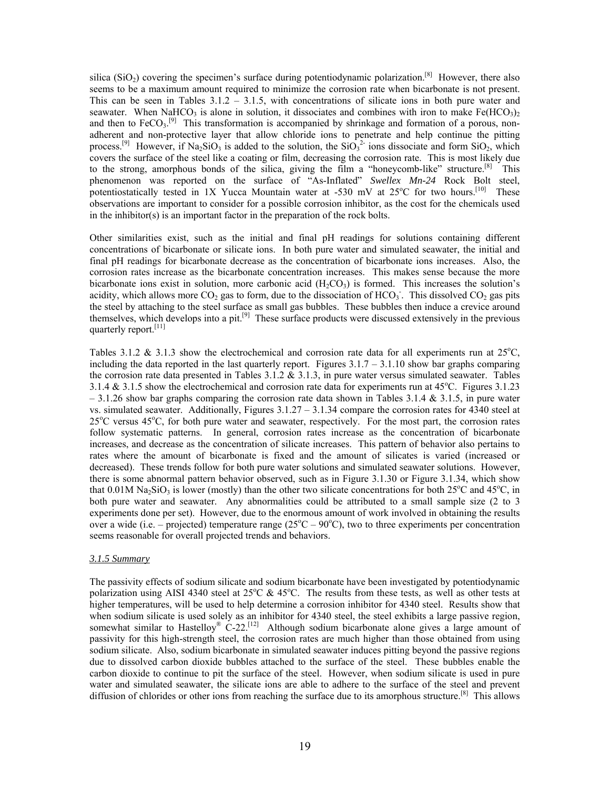silica (SiO<sub>2</sub>) covering the specimen's surface during potentiodynamic polarization.<sup>[8]</sup> However, there also seems to be a maximum amount required to minimize the corrosion rate when bicarbonate is not present. This can be seen in Tables  $3.1.2 - 3.1.5$ , with concentrations of silicate ions in both pure water and seawater. When NaHCO<sub>3</sub> is alone in solution, it dissociates and combines with iron to make Fe(HCO<sub>3</sub>)<sub>2</sub> and then to  $FeCO<sub>3</sub>$ <sup>[9]</sup> This transformation is accompanied by shrinkage and formation of a porous, nonadherent and non-protective layer that allow chloride ions to penetrate and help continue the pitting process.<sup>[9]</sup> However, if Na<sub>2</sub>SiO<sub>3</sub> is added to the solution, the SiO<sub>3</sub><sup>2</sup> ions dissociate and form SiO<sub>2</sub>, which covers the surface of the steel like a coating or film, decreasing the corrosion rate. This is most likely due to the strong, amorphous bonds of the silica, giving the film a "honeycomb-like" structure.<sup>[8]</sup> This phenomenon was reported on the surface of "As-Inflated" *Swellex Mn-24* Rock Bolt steel, potentiostatically tested in 1X Yucca Mountain water at -530 mV at  $25^{\circ}$ C for two hours.<sup>[10]</sup> These observations are important to consider for a possible corrosion inhibitor, as the cost for the chemicals used in the inhibitor(s) is an important factor in the preparation of the rock bolts.

Other similarities exist, such as the initial and final pH readings for solutions containing different concentrations of bicarbonate or silicate ions. In both pure water and simulated seawater, the initial and final pH readings for bicarbonate decrease as the concentration of bicarbonate ions increases. Also, the corrosion rates increase as the bicarbonate concentration increases. This makes sense because the more bicarbonate ions exist in solution, more carbonic acid  $(H_2CO_3)$  is formed. This increases the solution's acidity, which allows more  $CO_2$  gas to form, due to the dissociation of  $HCO_3$ . This dissolved  $CO_2$  gas pits the steel by attaching to the steel surface as small gas bubbles. These bubbles then induce a crevice around themselves, which develops into a pit.[9] These surface products were discussed extensively in the previous quarterly report.<sup>[11]</sup>

Tables 3.1.2 & 3.1.3 show the electrochemical and corrosion rate data for all experiments run at  $25^{\circ}$ C, including the data reported in the last quarterly report. Figures  $3.1.7 - 3.1.10$  show bar graphs comparing the corrosion rate data presented in Tables  $3.1.2 \& 3.1.3$ , in pure water versus simulated seawater. Tables 3.1.4  $\&$  3.1.5 show the electrochemical and corrosion rate data for experiments run at 45°C. Figures 3.1.23  $-3.1.26$  show bar graphs comparing the corrosion rate data shown in Tables 3.1.4 & 3.1.5, in pure water vs. simulated seawater. Additionally, Figures 3.1.27 – 3.1.34 compare the corrosion rates for 4340 steel at 25<sup>°</sup>C versus 45<sup>°</sup>C, for both pure water and seawater, respectively. For the most part, the corrosion rates follow systematic patterns. In general, corrosion rates increase as the concentration of bicarbonate increases, and decrease as the concentration of silicate increases. This pattern of behavior also pertains to rates where the amount of bicarbonate is fixed and the amount of silicates is varied (increased or decreased). These trends follow for both pure water solutions and simulated seawater solutions. However, there is some abnormal pattern behavior observed, such as in Figure 3.1.30 or Figure 3.1.34, which show that  $0.01M$  Na<sub>2</sub>SiO<sub>3</sub> is lower (mostly) than the other two silicate concentrations for both 25<sup>o</sup>C and 45<sup>o</sup>C, in both pure water and seawater. Any abnormalities could be attributed to a small sample size (2 to 3 experiments done per set). However, due to the enormous amount of work involved in obtaining the results over a wide (i.e. – projected) temperature range ( $25^{\circ}\text{C} - 90^{\circ}\text{C}$ ), two to three experiments per concentration seems reasonable for overall projected trends and behaviors.

#### *3.1.5 Summary*

The passivity effects of sodium silicate and sodium bicarbonate have been investigated by potentiodynamic polarization using AISI 4340 steel at  $25^{\circ}$ C &  $45^{\circ}$ C. The results from these tests, as well as other tests at higher temperatures, will be used to help determine a corrosion inhibitor for 4340 steel. Results show that when sodium silicate is used solely as an inhibitor for 4340 steel, the steel exhibits a large passive region, somewhat similar to Hastelloy<sup>®</sup> C-22.<sup>[12]</sup> Although sodium bicarbonate alone gives a large amount of passivity for this high-strength steel, the corrosion rates are much higher than those obtained from using sodium silicate. Also, sodium bicarbonate in simulated seawater induces pitting beyond the passive regions due to dissolved carbon dioxide bubbles attached to the surface of the steel. These bubbles enable the carbon dioxide to continue to pit the surface of the steel. However, when sodium silicate is used in pure water and simulated seawater, the silicate ions are able to adhere to the surface of the steel and prevent diffusion of chlorides or other ions from reaching the surface due to its amorphous structure.<sup>[8]</sup> This allows